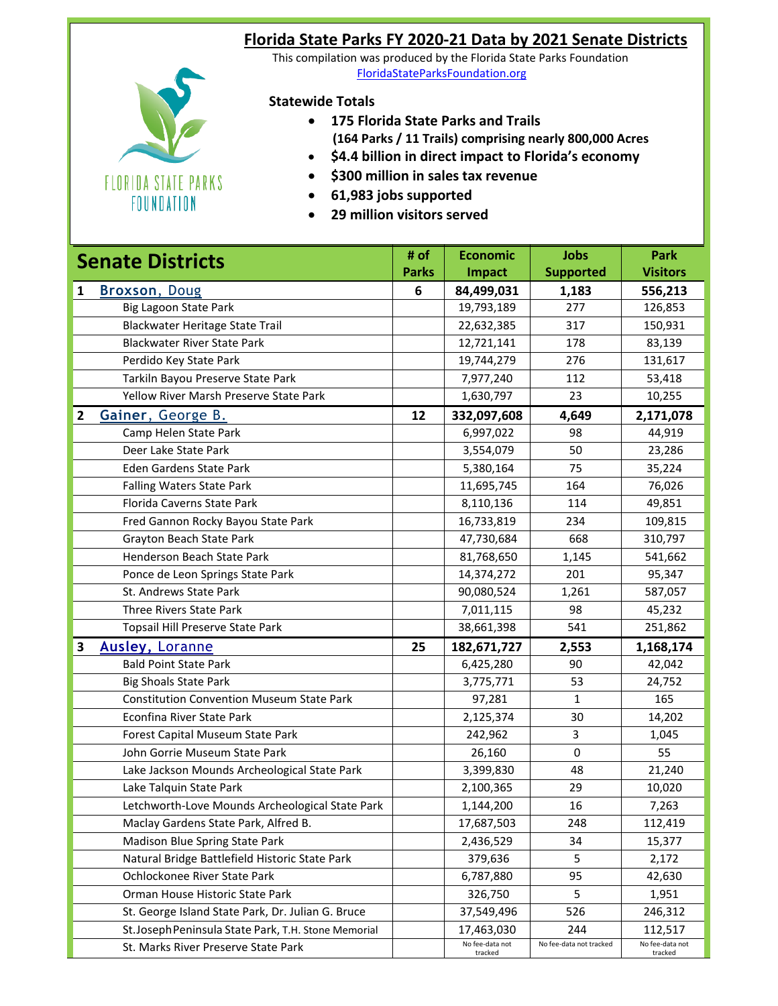## **Florida State Parks FY 2020-21 Data by 2021 Senate Districts**

**FLORIDA STATE PARKS** FOUNDATION

## This compilation was produced by the Florida State Parks Foundation . [FloridaStateParksFoundation.org](floridastateparksfoundation.org)

## **Statewide Totals**

- **175 Florida State Parks and Trails (164 Parks / 11 Trails) comprising nearly 800,000 Acres**
- **\$4.4 billion in direct impact to Florida's economy**
- **\$300 million in sales tax revenue**
- **61,983 jobs supported**
- **29 million visitors served**

| <b>Senate Districts</b> |                                                     | # of         | <b>Economic</b>            | <b>Jobs</b>             | Park                       |
|-------------------------|-----------------------------------------------------|--------------|----------------------------|-------------------------|----------------------------|
|                         |                                                     | <b>Parks</b> | <b>Impact</b>              | <b>Supported</b>        | <b>Visitors</b>            |
| 1                       | Broxson, Doug                                       | 6            | 84,499,031                 | 1,183                   | 556,213                    |
|                         | <b>Big Lagoon State Park</b>                        |              | 19,793,189                 | 277                     | 126,853                    |
|                         | Blackwater Heritage State Trail                     |              | 22,632,385                 | 317                     | 150,931                    |
|                         | <b>Blackwater River State Park</b>                  |              | 12,721,141                 | 178                     | 83,139                     |
|                         | Perdido Key State Park                              |              | 19,744,279                 | 276                     | 131,617                    |
|                         | Tarkiln Bayou Preserve State Park                   |              | 7,977,240                  | 112                     | 53,418                     |
|                         | Yellow River Marsh Preserve State Park              |              | 1,630,797                  | 23                      | 10,255                     |
| $\overline{2}$          | Gainer, George B.                                   | 12           | 332,097,608                | 4,649                   | 2,171,078                  |
|                         | Camp Helen State Park                               |              | 6,997,022                  | 98                      | 44,919                     |
|                         | Deer Lake State Park                                |              | 3,554,079                  | 50                      | 23,286                     |
|                         | Eden Gardens State Park                             |              | 5,380,164                  | 75                      | 35,224                     |
|                         | Falling Waters State Park                           |              | 11,695,745                 | 164                     | 76,026                     |
|                         | Florida Caverns State Park                          |              | 8,110,136                  | 114                     | 49,851                     |
|                         | Fred Gannon Rocky Bayou State Park                  |              | 16,733,819                 | 234                     | 109,815                    |
|                         | Grayton Beach State Park                            |              | 47,730,684                 | 668                     | 310,797                    |
|                         | Henderson Beach State Park                          |              | 81,768,650                 | 1,145                   | 541,662                    |
|                         | Ponce de Leon Springs State Park                    |              | 14,374,272                 | 201                     | 95,347                     |
|                         | St. Andrews State Park                              |              | 90,080,524                 | 1,261                   | 587,057                    |
|                         | Three Rivers State Park                             |              | 7,011,115                  | 98                      | 45,232                     |
|                         | Topsail Hill Preserve State Park                    |              | 38,661,398                 | 541                     | 251,862                    |
| 3                       | <b>Ausley, Loranne</b>                              | 25           | 182,671,727                | 2,553                   | 1,168,174                  |
|                         | <b>Bald Point State Park</b>                        |              | 6,425,280                  | 90                      | 42,042                     |
|                         | <b>Big Shoals State Park</b>                        |              | 3,775,771                  | 53                      | 24,752                     |
|                         | <b>Constitution Convention Museum State Park</b>    |              | 97,281                     | $\mathbf{1}$            | 165                        |
|                         | Econfina River State Park                           |              | 2,125,374                  | 30                      | 14,202                     |
|                         | Forest Capital Museum State Park                    |              | 242,962                    | 3                       | 1,045                      |
|                         | John Gorrie Museum State Park                       |              | 26,160                     | 0                       | 55                         |
|                         | Lake Jackson Mounds Archeological State Park        |              | 3,399,830                  | 48                      | 21,240                     |
|                         | Lake Talquin State Park                             |              | 2,100,365                  | 29                      | 10,020                     |
|                         | Letchworth-Love Mounds Archeological State Park     |              | 1,144,200                  | 16                      | 7,263                      |
|                         | Maclay Gardens State Park, Alfred B.                |              | 17,687,503                 | 248                     | 112,419                    |
|                         | Madison Blue Spring State Park                      |              | 2,436,529                  | 34                      | 15,377                     |
|                         | Natural Bridge Battlefield Historic State Park      |              | 379,636                    | 5                       | 2,172                      |
|                         | Ochlockonee River State Park                        |              | 6,787,880                  | 95                      | 42,630                     |
|                         | Orman House Historic State Park                     |              | 326,750                    | 5                       | 1,951                      |
|                         | St. George Island State Park, Dr. Julian G. Bruce   |              | 37,549,496                 | 526                     | 246,312                    |
|                         | St.Joseph Peninsula State Park, T.H. Stone Memorial |              | 17,463,030                 | 244                     | 112,517                    |
|                         | St. Marks River Preserve State Park                 |              | No fee-data not<br>tracked | No fee-data not tracked | No fee-data not<br>tracked |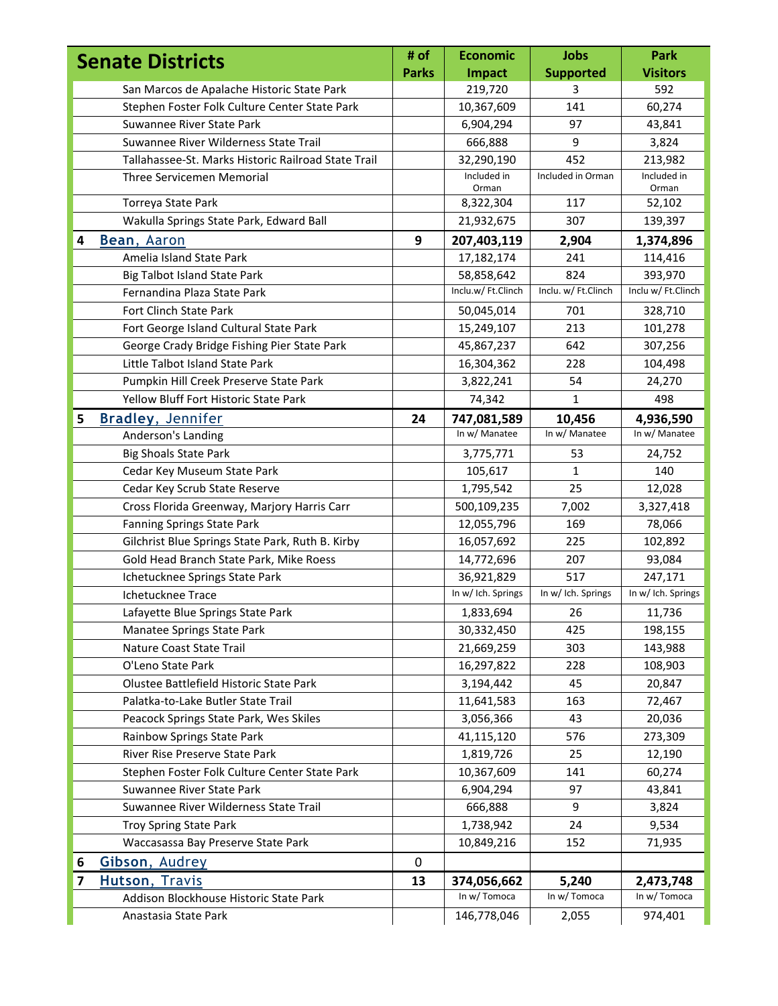| <b>Senate Districts</b> |                                                     | # of         | <b>Economic</b>      | <b>Jobs</b>         | <b>Park</b>          |
|-------------------------|-----------------------------------------------------|--------------|----------------------|---------------------|----------------------|
|                         |                                                     | <b>Parks</b> | <b>Impact</b>        | <b>Supported</b>    | <b>Visitors</b>      |
|                         | San Marcos de Apalache Historic State Park          |              | 219,720              | 3                   | 592                  |
|                         | Stephen Foster Folk Culture Center State Park       |              | 10,367,609           | 141                 | 60,274               |
|                         | Suwannee River State Park                           |              | 6,904,294            | 97                  | 43,841               |
|                         | Suwannee River Wilderness State Trail               |              | 666,888              | 9                   | 3,824                |
|                         | Tallahassee-St. Marks Historic Railroad State Trail |              | 32,290,190           | 452                 | 213,982              |
|                         | Three Servicemen Memorial                           |              | Included in<br>Orman | Included in Orman   | Included in<br>Orman |
|                         | Torreya State Park                                  |              | 8,322,304            | 117                 | 52,102               |
|                         | Wakulla Springs State Park, Edward Ball             |              | 21,932,675           | 307                 | 139,397              |
| 4                       | Bean, Aaron                                         | 9            | 207,403,119          | 2,904               | 1,374,896            |
|                         | Amelia Island State Park                            |              | 17,182,174           | 241                 | 114,416              |
|                         | <b>Big Talbot Island State Park</b>                 |              | 58,858,642           | 824                 | 393,970              |
|                         | Fernandina Plaza State Park                         |              | Inclu.w/ Ft.Clinch   | Inclu. w/ Ft.Clinch | Inclu w/ Ft.Clinch   |
|                         | <b>Fort Clinch State Park</b>                       |              | 50,045,014           | 701                 | 328,710              |
|                         | Fort George Island Cultural State Park              |              | 15,249,107           | 213                 | 101,278              |
|                         | George Crady Bridge Fishing Pier State Park         |              | 45,867,237           | 642                 | 307,256              |
|                         | Little Talbot Island State Park                     |              | 16,304,362           | 228                 | 104,498              |
|                         | Pumpkin Hill Creek Preserve State Park              |              | 3,822,241            | 54                  | 24,270               |
|                         | Yellow Bluff Fort Historic State Park               |              | 74,342               | $\mathbf{1}$        | 498                  |
| 5                       | <b>Bradley, Jennifer</b>                            | 24           | 747,081,589          | 10,456              | 4,936,590            |
|                         | Anderson's Landing                                  |              | In w/ Manatee        | In w/ Manatee       | In w/ Manatee        |
|                         | <b>Big Shoals State Park</b>                        |              | 3,775,771            | 53                  | 24,752               |
|                         | Cedar Key Museum State Park                         |              | 105,617              | 1                   | 140                  |
|                         | Cedar Key Scrub State Reserve                       |              | 1,795,542            | 25                  | 12,028               |
|                         | Cross Florida Greenway, Marjory Harris Carr         |              | 500,109,235          | 7,002               | 3,327,418            |
|                         | <b>Fanning Springs State Park</b>                   |              | 12,055,796           | 169                 | 78,066               |
|                         | Gilchrist Blue Springs State Park, Ruth B. Kirby    |              | 16,057,692           | 225                 | 102,892              |
|                         | Gold Head Branch State Park, Mike Roess             |              | 14,772,696           | 207                 | 93,084               |
|                         | Ichetucknee Springs State Park                      |              | 36,921,829           | 517                 | 247,171              |
|                         | Ichetucknee Trace                                   |              | In w/ Ich. Springs   | In w/ Ich. Springs  | In w/ Ich. Springs   |
|                         | Lafayette Blue Springs State Park                   |              | 1,833,694            | 26                  | 11,736               |
|                         | Manatee Springs State Park                          |              | 30,332,450           | 425                 | 198,155              |
|                         | Nature Coast State Trail                            |              | 21,669,259           | 303                 | 143,988              |
|                         | O'Leno State Park                                   |              | 16,297,822           | 228                 | 108,903              |
|                         | Olustee Battlefield Historic State Park             |              | 3,194,442            | 45                  | 20,847               |
|                         | Palatka-to-Lake Butler State Trail                  |              | 11,641,583           | 163                 | 72,467               |
|                         | Peacock Springs State Park, Wes Skiles              |              | 3,056,366            | 43                  | 20,036               |
|                         | Rainbow Springs State Park                          |              | 41,115,120           | 576                 | 273,309              |
|                         | River Rise Preserve State Park                      |              | 1,819,726            | 25                  | 12,190               |
|                         | Stephen Foster Folk Culture Center State Park       |              | 10,367,609           | 141                 | 60,274               |
|                         | Suwannee River State Park                           |              | 6,904,294            | 97                  | 43,841               |
|                         | Suwannee River Wilderness State Trail               |              | 666,888              | 9                   | 3,824                |
|                         | Troy Spring State Park                              |              | 1,738,942            | 24                  | 9,534                |
|                         | Waccasassa Bay Preserve State Park                  |              | 10,849,216           | 152                 | 71,935               |
| 6                       | Gibson, Audrey                                      | 0            |                      |                     |                      |
| 7                       | Hutson, Travis                                      | 13           | 374,056,662          | 5,240               | 2,473,748            |
|                         | Addison Blockhouse Historic State Park              |              | In w/ Tomoca         | In w/ Tomoca        | In w/ Tomoca         |
|                         | Anastasia State Park                                |              | 146,778,046          | 2,055               | 974,401              |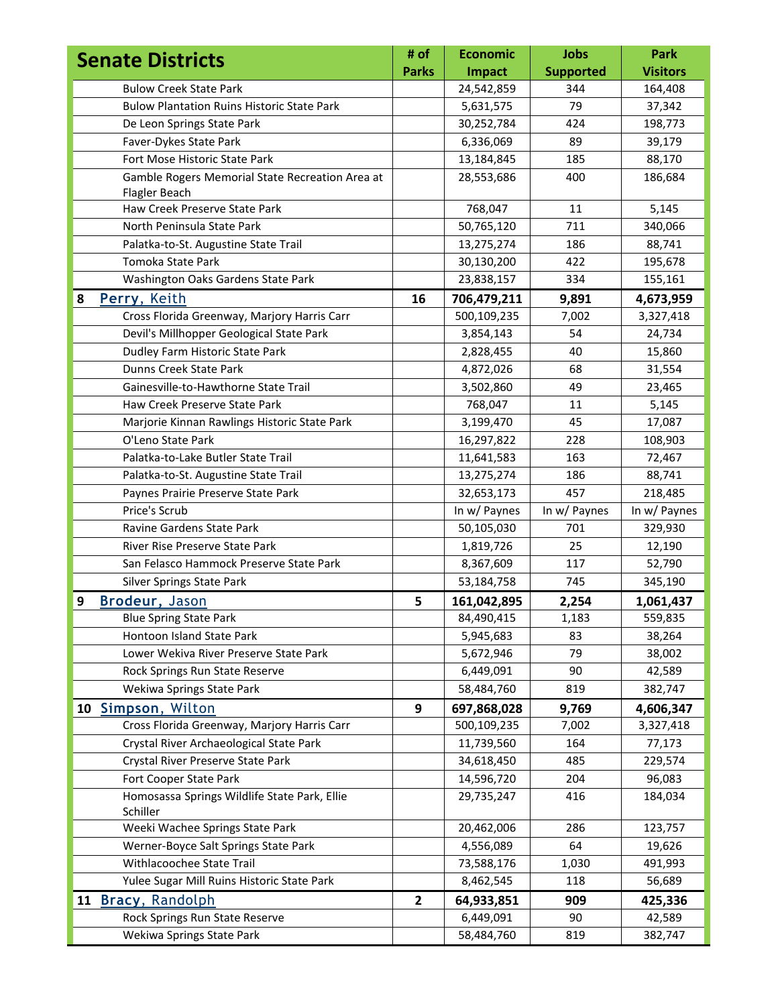| <b>Senate Districts</b>                                  | # of           | <b>Economic</b> | <b>Jobs</b>      | <b>Park</b>     |
|----------------------------------------------------------|----------------|-----------------|------------------|-----------------|
|                                                          | <b>Parks</b>   | <b>Impact</b>   | <b>Supported</b> | <b>Visitors</b> |
| <b>Bulow Creek State Park</b>                            |                | 24,542,859      | 344              | 164,408         |
| <b>Bulow Plantation Ruins Historic State Park</b>        |                | 5,631,575       | 79               | 37,342          |
| De Leon Springs State Park                               |                | 30,252,784      | 424              | 198,773         |
| Faver-Dykes State Park                                   |                | 6,336,069       | 89               | 39,179          |
| Fort Mose Historic State Park                            |                | 13,184,845      | 185              | 88,170          |
| Gamble Rogers Memorial State Recreation Area at          |                | 28,553,686      | 400              | 186,684         |
| Flagler Beach                                            |                |                 |                  |                 |
| Haw Creek Preserve State Park                            |                | 768,047         | 11               | 5,145           |
| North Peninsula State Park                               |                | 50,765,120      | 711              | 340,066         |
| Palatka-to-St. Augustine State Trail                     |                | 13,275,274      | 186              | 88,741          |
| Tomoka State Park                                        |                | 30,130,200      | 422              | 195,678         |
| Washington Oaks Gardens State Park                       |                | 23,838,157      | 334              | 155,161         |
| Perry, Keith<br>8                                        | 16             | 706,479,211     | 9,891            | 4,673,959       |
| Cross Florida Greenway, Marjory Harris Carr              |                | 500,109,235     | 7,002            | 3,327,418       |
| Devil's Millhopper Geological State Park                 |                | 3,854,143       | 54               | 24,734          |
| Dudley Farm Historic State Park                          |                | 2,828,455       | 40               | 15,860          |
| Dunns Creek State Park                                   |                | 4,872,026       | 68               | 31,554          |
| Gainesville-to-Hawthorne State Trail                     |                | 3,502,860       | 49               | 23,465          |
| Haw Creek Preserve State Park                            |                | 768,047         | 11               | 5,145           |
| Marjorie Kinnan Rawlings Historic State Park             |                | 3,199,470       | 45               | 17,087          |
| O'Leno State Park                                        |                | 16,297,822      | 228              | 108,903         |
| Palatka-to-Lake Butler State Trail                       |                | 11,641,583      | 163              | 72,467          |
| Palatka-to-St. Augustine State Trail                     |                | 13,275,274      | 186              | 88,741          |
| Paynes Prairie Preserve State Park                       |                | 32,653,173      | 457              | 218,485         |
| Price's Scrub                                            |                | In w/ Paynes    | In w/ Paynes     | In w/ Paynes    |
| Ravine Gardens State Park                                |                | 50,105,030      | 701              | 329,930         |
| River Rise Preserve State Park                           |                | 1,819,726       | 25               | 12,190          |
| San Felasco Hammock Preserve State Park                  |                | 8,367,609       | 117              | 52,790          |
| Silver Springs State Park                                |                | 53,184,758      | 745              | 345,190         |
| <b>Brodeur</b> , Jason<br>9                              | 5              | 161,042,895     | 2,254            | 1,061,437       |
| <b>Blue Spring State Park</b>                            |                | 84,490,415      | 1,183            | 559,835         |
| Hontoon Island State Park                                |                | 5,945,683       | 83               | 38,264          |
| Lower Wekiva River Preserve State Park                   |                | 5,672,946       | 79               | 38,002          |
| Rock Springs Run State Reserve                           |                | 6,449,091       | 90               | 42,589          |
| Wekiwa Springs State Park                                |                | 58,484,760      | 819              | 382,747         |
| 10 Simpson, Wilton                                       | 9              | 697,868,028     | 9,769            | 4,606,347       |
| Cross Florida Greenway, Marjory Harris Carr              |                | 500,109,235     | 7,002            | 3,327,418       |
| Crystal River Archaeological State Park                  |                | 11,739,560      | 164              | 77,173          |
| Crystal River Preserve State Park                        |                | 34,618,450      | 485              | 229,574         |
| Fort Cooper State Park                                   |                | 14,596,720      | 204              | 96,083          |
| Homosassa Springs Wildlife State Park, Ellie<br>Schiller |                | 29,735,247      | 416              | 184,034         |
| Weeki Wachee Springs State Park                          |                | 20,462,006      | 286              | 123,757         |
| Werner-Boyce Salt Springs State Park                     |                | 4,556,089       | 64               | 19,626          |
| Withlacoochee State Trail                                |                | 73,588,176      | 1,030            | 491,993         |
| Yulee Sugar Mill Ruins Historic State Park               |                | 8,462,545       | 118              | 56,689          |
| 11 Bracy, Randolph                                       | $\overline{2}$ | 64,933,851      | 909              | 425,336         |
| Rock Springs Run State Reserve                           |                | 6,449,091       | 90               | 42,589          |
| Wekiwa Springs State Park                                |                | 58,484,760      | 819              | 382,747         |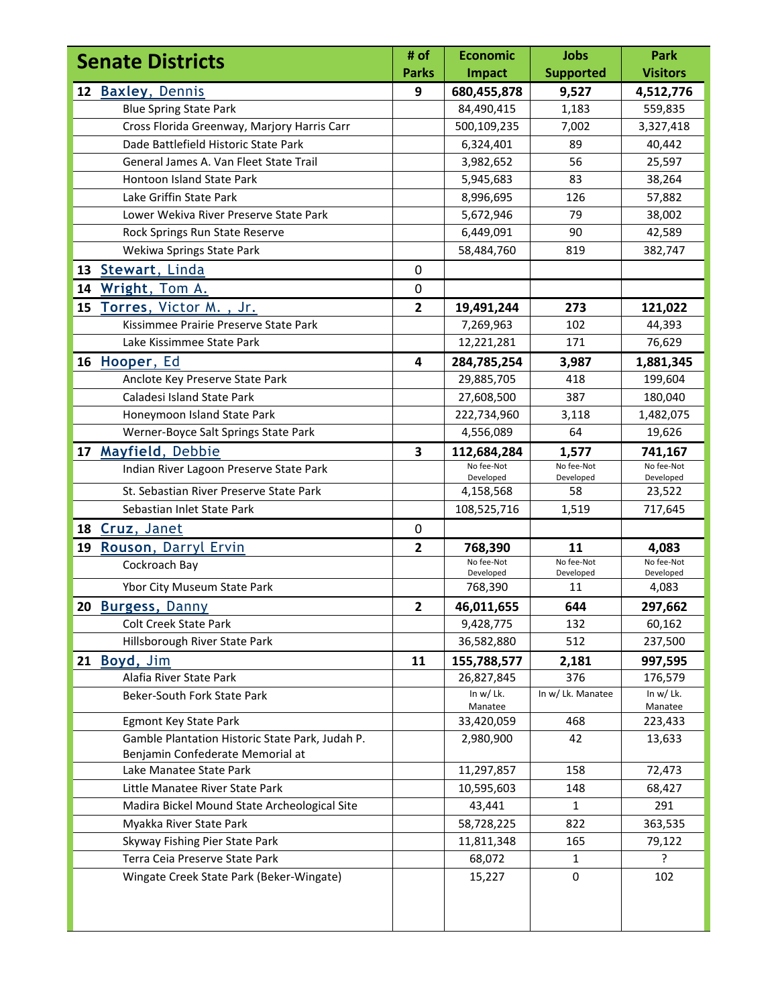| <b>Parks</b><br><b>Supported</b><br><b>Impact</b><br>12 Baxley, Dennis<br>9<br>680,455,878<br>9,527<br><b>Blue Spring State Park</b><br>84,490,415<br>1,183<br>Cross Florida Greenway, Marjory Harris Carr<br>500,109,235<br>7,002<br>Dade Battlefield Historic State Park<br>6,324,401<br>89<br>General James A. Van Fleet State Trail<br>56<br>3,982,652<br>Hontoon Island State Park<br>83<br>5,945,683<br>Lake Griffin State Park<br>126<br>8,996,695<br>Lower Wekiva River Preserve State Park<br>5,672,946<br>79<br>Rock Springs Run State Reserve<br>90<br>6,449,091<br>Wekiwa Springs State Park<br>58,484,760<br>819<br>13 Stewart, Linda<br>0<br>14 Wright, Tom A.<br>0<br>15 Torres, Victor M., Jr.<br>$\overline{2}$<br>273<br>19,491,244<br>Kissimmee Prairie Preserve State Park<br>102<br>7,269,963<br>12,221,281<br>171<br>Lake Kissimmee State Park<br>16 Hooper, Ed<br>$\overline{\mathbf{4}}$<br>284,785,254<br>3,987<br>Anclote Key Preserve State Park<br>29,885,705<br>418 | <b>Visitors</b><br>4,512,776<br>559,835<br>3,327,418<br>40,442<br>25,597<br>38,264<br>57,882<br>38,002<br>42,589<br>382,747 |
|--------------------------------------------------------------------------------------------------------------------------------------------------------------------------------------------------------------------------------------------------------------------------------------------------------------------------------------------------------------------------------------------------------------------------------------------------------------------------------------------------------------------------------------------------------------------------------------------------------------------------------------------------------------------------------------------------------------------------------------------------------------------------------------------------------------------------------------------------------------------------------------------------------------------------------------------------------------------------------------------------|-----------------------------------------------------------------------------------------------------------------------------|
|                                                                                                                                                                                                                                                                                                                                                                                                                                                                                                                                                                                                                                                                                                                                                                                                                                                                                                                                                                                                  |                                                                                                                             |
|                                                                                                                                                                                                                                                                                                                                                                                                                                                                                                                                                                                                                                                                                                                                                                                                                                                                                                                                                                                                  |                                                                                                                             |
|                                                                                                                                                                                                                                                                                                                                                                                                                                                                                                                                                                                                                                                                                                                                                                                                                                                                                                                                                                                                  |                                                                                                                             |
|                                                                                                                                                                                                                                                                                                                                                                                                                                                                                                                                                                                                                                                                                                                                                                                                                                                                                                                                                                                                  |                                                                                                                             |
|                                                                                                                                                                                                                                                                                                                                                                                                                                                                                                                                                                                                                                                                                                                                                                                                                                                                                                                                                                                                  |                                                                                                                             |
|                                                                                                                                                                                                                                                                                                                                                                                                                                                                                                                                                                                                                                                                                                                                                                                                                                                                                                                                                                                                  |                                                                                                                             |
|                                                                                                                                                                                                                                                                                                                                                                                                                                                                                                                                                                                                                                                                                                                                                                                                                                                                                                                                                                                                  |                                                                                                                             |
|                                                                                                                                                                                                                                                                                                                                                                                                                                                                                                                                                                                                                                                                                                                                                                                                                                                                                                                                                                                                  |                                                                                                                             |
|                                                                                                                                                                                                                                                                                                                                                                                                                                                                                                                                                                                                                                                                                                                                                                                                                                                                                                                                                                                                  |                                                                                                                             |
|                                                                                                                                                                                                                                                                                                                                                                                                                                                                                                                                                                                                                                                                                                                                                                                                                                                                                                                                                                                                  |                                                                                                                             |
|                                                                                                                                                                                                                                                                                                                                                                                                                                                                                                                                                                                                                                                                                                                                                                                                                                                                                                                                                                                                  |                                                                                                                             |
|                                                                                                                                                                                                                                                                                                                                                                                                                                                                                                                                                                                                                                                                                                                                                                                                                                                                                                                                                                                                  |                                                                                                                             |
|                                                                                                                                                                                                                                                                                                                                                                                                                                                                                                                                                                                                                                                                                                                                                                                                                                                                                                                                                                                                  |                                                                                                                             |
|                                                                                                                                                                                                                                                                                                                                                                                                                                                                                                                                                                                                                                                                                                                                                                                                                                                                                                                                                                                                  | 121,022                                                                                                                     |
|                                                                                                                                                                                                                                                                                                                                                                                                                                                                                                                                                                                                                                                                                                                                                                                                                                                                                                                                                                                                  | 44,393                                                                                                                      |
|                                                                                                                                                                                                                                                                                                                                                                                                                                                                                                                                                                                                                                                                                                                                                                                                                                                                                                                                                                                                  | 76,629                                                                                                                      |
|                                                                                                                                                                                                                                                                                                                                                                                                                                                                                                                                                                                                                                                                                                                                                                                                                                                                                                                                                                                                  | 1,881,345                                                                                                                   |
|                                                                                                                                                                                                                                                                                                                                                                                                                                                                                                                                                                                                                                                                                                                                                                                                                                                                                                                                                                                                  | 199,604                                                                                                                     |
| Caladesi Island State Park<br>27,608,500<br>387                                                                                                                                                                                                                                                                                                                                                                                                                                                                                                                                                                                                                                                                                                                                                                                                                                                                                                                                                  | 180,040                                                                                                                     |
| Honeymoon Island State Park<br>222,734,960<br>3,118                                                                                                                                                                                                                                                                                                                                                                                                                                                                                                                                                                                                                                                                                                                                                                                                                                                                                                                                              | 1,482,075                                                                                                                   |
| Werner-Boyce Salt Springs State Park<br>64<br>4,556,089                                                                                                                                                                                                                                                                                                                                                                                                                                                                                                                                                                                                                                                                                                                                                                                                                                                                                                                                          | 19,626                                                                                                                      |
| 17 Mayfield, Debbie<br>3<br>112,684,284<br>1,577                                                                                                                                                                                                                                                                                                                                                                                                                                                                                                                                                                                                                                                                                                                                                                                                                                                                                                                                                 | 741,167                                                                                                                     |
| No fee-Not<br>No fee-Not<br>Indian River Lagoon Preserve State Park<br>Developed<br>Developed                                                                                                                                                                                                                                                                                                                                                                                                                                                                                                                                                                                                                                                                                                                                                                                                                                                                                                    | No fee-Not<br>Developed                                                                                                     |
| St. Sebastian River Preserve State Park<br>4,158,568<br>58                                                                                                                                                                                                                                                                                                                                                                                                                                                                                                                                                                                                                                                                                                                                                                                                                                                                                                                                       | 23,522                                                                                                                      |
| Sebastian Inlet State Park<br>108,525,716<br>1,519                                                                                                                                                                                                                                                                                                                                                                                                                                                                                                                                                                                                                                                                                                                                                                                                                                                                                                                                               | 717,645                                                                                                                     |
| 18 Cruz, Janet<br>0                                                                                                                                                                                                                                                                                                                                                                                                                                                                                                                                                                                                                                                                                                                                                                                                                                                                                                                                                                              |                                                                                                                             |
| Rouson, Darryl Ervin<br>19<br>$\mathbf{2}$<br>11<br>768,390                                                                                                                                                                                                                                                                                                                                                                                                                                                                                                                                                                                                                                                                                                                                                                                                                                                                                                                                      | 4,083                                                                                                                       |
| No fee-Not<br>No fee-Not<br>Cockroach Bay                                                                                                                                                                                                                                                                                                                                                                                                                                                                                                                                                                                                                                                                                                                                                                                                                                                                                                                                                        | No fee-Not                                                                                                                  |
| Developed<br>Developed<br>Ybor City Museum State Park<br>768,390<br>11                                                                                                                                                                                                                                                                                                                                                                                                                                                                                                                                                                                                                                                                                                                                                                                                                                                                                                                           | Developed<br>4,083                                                                                                          |
| 20 Burgess, Danny<br>$\mathbf{2}$<br>46,011,655<br>644                                                                                                                                                                                                                                                                                                                                                                                                                                                                                                                                                                                                                                                                                                                                                                                                                                                                                                                                           | 297,662                                                                                                                     |
| Colt Creek State Park<br>9,428,775<br>132                                                                                                                                                                                                                                                                                                                                                                                                                                                                                                                                                                                                                                                                                                                                                                                                                                                                                                                                                        | 60,162                                                                                                                      |
| 512<br>Hillsborough River State Park<br>36,582,880                                                                                                                                                                                                                                                                                                                                                                                                                                                                                                                                                                                                                                                                                                                                                                                                                                                                                                                                               | 237,500                                                                                                                     |
|                                                                                                                                                                                                                                                                                                                                                                                                                                                                                                                                                                                                                                                                                                                                                                                                                                                                                                                                                                                                  |                                                                                                                             |
| 21 Boyd, Jim<br>11<br>155,788,577<br>2,181<br>Alafia River State Park<br>376                                                                                                                                                                                                                                                                                                                                                                                                                                                                                                                                                                                                                                                                                                                                                                                                                                                                                                                     | 997,595<br>176,579                                                                                                          |
| 26,827,845<br>In $w/Lk$ .<br>In w/ Lk. Manatee<br><b>Beker-South Fork State Park</b>                                                                                                                                                                                                                                                                                                                                                                                                                                                                                                                                                                                                                                                                                                                                                                                                                                                                                                             | In $w/Lk$ .                                                                                                                 |
| Manatee                                                                                                                                                                                                                                                                                                                                                                                                                                                                                                                                                                                                                                                                                                                                                                                                                                                                                                                                                                                          | Manatee                                                                                                                     |
| Egmont Key State Park<br>468<br>33,420,059                                                                                                                                                                                                                                                                                                                                                                                                                                                                                                                                                                                                                                                                                                                                                                                                                                                                                                                                                       | 223,433                                                                                                                     |
| Gamble Plantation Historic State Park, Judah P.<br>42<br>2,980,900                                                                                                                                                                                                                                                                                                                                                                                                                                                                                                                                                                                                                                                                                                                                                                                                                                                                                                                               | 13,633                                                                                                                      |
| Benjamin Confederate Memorial at                                                                                                                                                                                                                                                                                                                                                                                                                                                                                                                                                                                                                                                                                                                                                                                                                                                                                                                                                                 |                                                                                                                             |
| 158<br>Lake Manatee State Park<br>11,297,857                                                                                                                                                                                                                                                                                                                                                                                                                                                                                                                                                                                                                                                                                                                                                                                                                                                                                                                                                     | 72,473                                                                                                                      |
| Little Manatee River State Park<br>10,595,603<br>148                                                                                                                                                                                                                                                                                                                                                                                                                                                                                                                                                                                                                                                                                                                                                                                                                                                                                                                                             | 68,427                                                                                                                      |
| Madira Bickel Mound State Archeological Site<br>43,441<br>1                                                                                                                                                                                                                                                                                                                                                                                                                                                                                                                                                                                                                                                                                                                                                                                                                                                                                                                                      | 291                                                                                                                         |
| Myakka River State Park<br>58,728,225<br>822                                                                                                                                                                                                                                                                                                                                                                                                                                                                                                                                                                                                                                                                                                                                                                                                                                                                                                                                                     | 363,535                                                                                                                     |
| Skyway Fishing Pier State Park<br>11,811,348<br>165                                                                                                                                                                                                                                                                                                                                                                                                                                                                                                                                                                                                                                                                                                                                                                                                                                                                                                                                              | 79,122                                                                                                                      |
| Terra Ceia Preserve State Park<br>68,072<br>$\mathbf{1}$                                                                                                                                                                                                                                                                                                                                                                                                                                                                                                                                                                                                                                                                                                                                                                                                                                                                                                                                         | ?                                                                                                                           |
| 15,227<br>Wingate Creek State Park (Beker-Wingate)<br>0                                                                                                                                                                                                                                                                                                                                                                                                                                                                                                                                                                                                                                                                                                                                                                                                                                                                                                                                          | 102                                                                                                                         |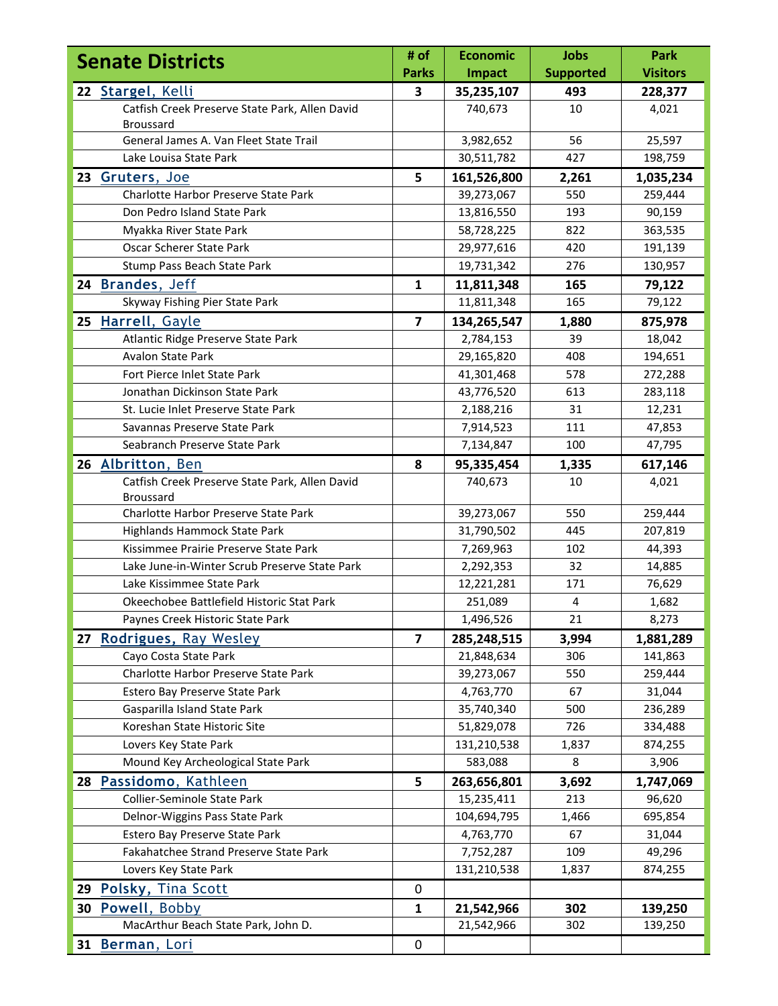| <b>Senate Districts</b> |                                                                    | # of                    | <b>Economic</b> | <b>Jobs</b>      | Park            |
|-------------------------|--------------------------------------------------------------------|-------------------------|-----------------|------------------|-----------------|
|                         |                                                                    | <b>Parks</b>            | <b>Impact</b>   | <b>Supported</b> | <b>Visitors</b> |
|                         | 22 Stargel, Kelli                                                  | 3                       | 35,235,107      | 493              | 228,377         |
|                         | Catfish Creek Preserve State Park, Allen David<br><b>Broussard</b> |                         | 740,673         | 10               | 4,021           |
|                         | General James A. Van Fleet State Trail                             |                         | 3,982,652       | 56               | 25,597          |
|                         | Lake Louisa State Park                                             |                         | 30,511,782      | 427              | 198,759         |
|                         | 23 Gruters, Joe                                                    | 5                       | 161,526,800     | 2,261            | 1,035,234       |
|                         | Charlotte Harbor Preserve State Park                               |                         | 39,273,067      | 550              | 259,444         |
|                         | Don Pedro Island State Park                                        |                         | 13,816,550      | 193              | 90,159          |
|                         | Myakka River State Park                                            |                         | 58,728,225      | 822              | 363,535         |
|                         | Oscar Scherer State Park                                           |                         | 29,977,616      | 420              | 191,139         |
|                         | Stump Pass Beach State Park                                        |                         | 19,731,342      | 276              | 130,957         |
|                         | 24 Brandes, Jeff                                                   | $\mathbf{1}$            | 11,811,348      | 165              | 79,122          |
|                         | Skyway Fishing Pier State Park                                     |                         | 11,811,348      | 165              | 79,122          |
|                         | 25 Harrell, Gayle                                                  | $\overline{\mathbf{z}}$ | 134,265,547     | 1,880            | 875,978         |
|                         | Atlantic Ridge Preserve State Park                                 |                         | 2,784,153       | 39               | 18,042          |
|                         | <b>Avalon State Park</b>                                           |                         | 29,165,820      | 408              | 194,651         |
|                         | Fort Pierce Inlet State Park                                       |                         | 41,301,468      | 578              | 272,288         |
|                         | Jonathan Dickinson State Park                                      |                         | 43,776,520      | 613              | 283,118         |
|                         | St. Lucie Inlet Preserve State Park                                |                         | 2,188,216       | 31               | 12,231          |
|                         | Savannas Preserve State Park                                       |                         | 7,914,523       | 111              | 47,853          |
|                         | Seabranch Preserve State Park                                      |                         | 7,134,847       | 100              | 47,795          |
|                         | 26 Albritton, Ben                                                  | 8                       | 95,335,454      | 1,335            | 617,146         |
|                         | Catfish Creek Preserve State Park, Allen David                     |                         | 740,673         | 10               | 4,021           |
|                         | <b>Broussard</b>                                                   |                         |                 |                  |                 |
|                         | Charlotte Harbor Preserve State Park                               |                         | 39,273,067      | 550              | 259,444         |
|                         | Highlands Hammock State Park                                       |                         | 31,790,502      | 445              | 207,819         |
|                         | Kissimmee Prairie Preserve State Park                              |                         | 7,269,963       | 102              | 44,393          |
|                         | Lake June-in-Winter Scrub Preserve State Park                      |                         | 2,292,353       | 32               | 14,885          |
|                         | Lake Kissimmee State Park                                          |                         | 12,221,281      | 171              | 76,629          |
|                         | Okeechobee Battlefield Historic Stat Park                          |                         | 251,089         | 4                | 1,682           |
|                         | Paynes Creek Historic State Park                                   |                         | 1,496,526       | 21               | 8,273           |
|                         | 27 Rodrigues, Ray Wesley                                           | $\overline{7}$          | 285,248,515     | 3,994            | 1,881,289       |
|                         | Cayo Costa State Park                                              |                         | 21,848,634      | 306              | 141,863         |
|                         | Charlotte Harbor Preserve State Park                               |                         | 39,273,067      | 550              | 259,444         |
|                         | Estero Bay Preserve State Park                                     |                         | 4,763,770       | 67               | 31,044          |
|                         | Gasparilla Island State Park                                       |                         | 35,740,340      | 500              | 236,289         |
|                         | Koreshan State Historic Site                                       |                         | 51,829,078      | 726              | 334,488         |
|                         | Lovers Key State Park                                              |                         | 131,210,538     | 1,837            | 874,255         |
|                         | Mound Key Archeological State Park                                 |                         | 583,088         | 8                | 3,906           |
|                         | 28 Passidomo, Kathleen                                             | 5                       | 263,656,801     | 3,692            | 1,747,069       |
|                         | Collier-Seminole State Park                                        |                         | 15,235,411      | 213              | 96,620          |
|                         | Delnor-Wiggins Pass State Park                                     |                         | 104,694,795     | 1,466            | 695,854         |
|                         | Estero Bay Preserve State Park                                     |                         | 4,763,770       | 67               | 31,044          |
|                         | Fakahatchee Strand Preserve State Park                             |                         | 7,752,287       | 109              | 49,296          |
|                         | Lovers Key State Park                                              |                         | 131,210,538     | 1,837            | 874,255         |
|                         | 29 Polsky, Tina Scott                                              | $\mathbf 0$             |                 |                  |                 |
|                         | 30 Powell, Bobby                                                   | $\mathbf{1}$            | 21,542,966      | 302              | 139,250         |
|                         | MacArthur Beach State Park, John D.                                |                         | 21,542,966      | 302              | 139,250         |
|                         | 31 Berman, Lori                                                    | $\pmb{0}$               |                 |                  |                 |